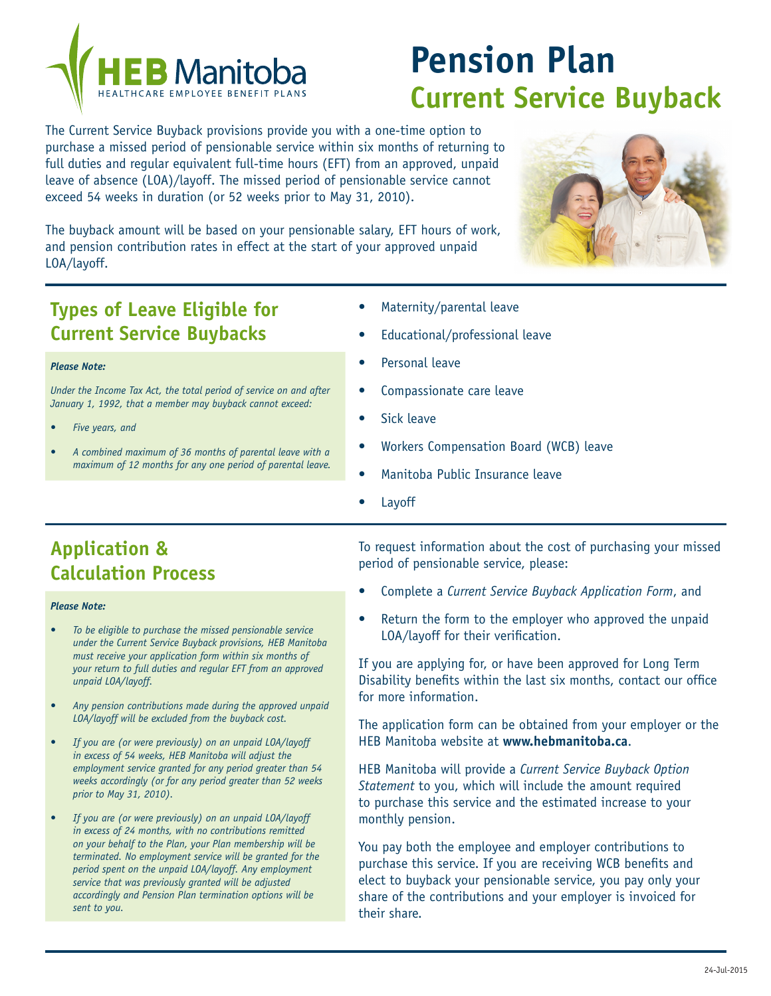

# **Pension Plan Current Service Buyback**

The Current Service Buyback provisions provide you with a one-time option to purchase a missed period of pensionable service within six months of returning to full duties and regular equivalent full-time hours (EFT) from an approved, unpaid leave of absence (LOA)/layoff. The missed period of pensionable service cannot exceed 54 weeks in duration (or 52 weeks prior to May 31, 2010).

The buyback amount will be based on your pensionable salary, EFT hours of work, and pension contribution rates in effect at the start of your approved unpaid LOA/layoff.

## **Types of Leave Eligible for Current Service Buybacks**

*Under the Income Tax Act, the total period of service on and after January 1, 1992, that a member may buyback cannot exceed:*

*• A combined maximum of 36 months of parental leave with a maximum of 12 months for any one period of parental leave.*

### Maternity/parental leave

- Educational/professional leave
- Personal leave
- Compassionate care leave
- Sick leave
- Workers Compensation Board (WCB) leave
- Manitoba Public Insurance leave
- **Layoff**

# **Application & Calculation Process**

#### *Please Note:*

*Please Note:*

*Five years, and* 

- To be eligible to purchase the missed pensionable service *under the Current Service Buyback provisions, HEB Manitoba must receive your application form within six months of your return to full duties and regular EFT from an approved unpaid LOA/layoff.*
- Any pension contributions made during the approved unpaid *LOA/layoff will be excluded from the buyback cost.*
- *If you are (or were previously) on an unpaid LOA/layoff in excess of 54 weeks, HEB Manitoba will adjust the employment service granted for any period greater than 54 weeks accordingly (or for any period greater than 52 weeks prior to May 31, 2010).*
- *If you are (or were previously) on an unpaid LOA/layoff in excess of 24 months, with no contributions remitted on your behalf to the Plan, your Plan membership will be terminated. No employment service will be granted for the period spent on the unpaid LOA/layoff. Any employment service that was previously granted will be adjusted accordingly and Pension Plan termination options will be sent to you.*

To request information about the cost of purchasing your missed period of pensionable service, please:

- Complete a *Current Service Buyback Application Form*, and
- Return the form to the employer who approved the unpaid LOA/layoff for their verification.

If you are applying for, or have been approved for Long Term Disability benefits within the last six months, contact our office for more information.

The application form can be obtained from your employer or the HEB Manitoba website at **www.hebmanitoba.ca**.

HEB Manitoba will provide a *Current Service Buyback Option Statement* to you, which will include the amount required to purchase this service and the estimated increase to your monthly pension.

You pay both the employee and employer contributions to purchase this service. If you are receiving WCB benefits and elect to buyback your pensionable service, you pay only your share of the contributions and your employer is invoiced for their share.